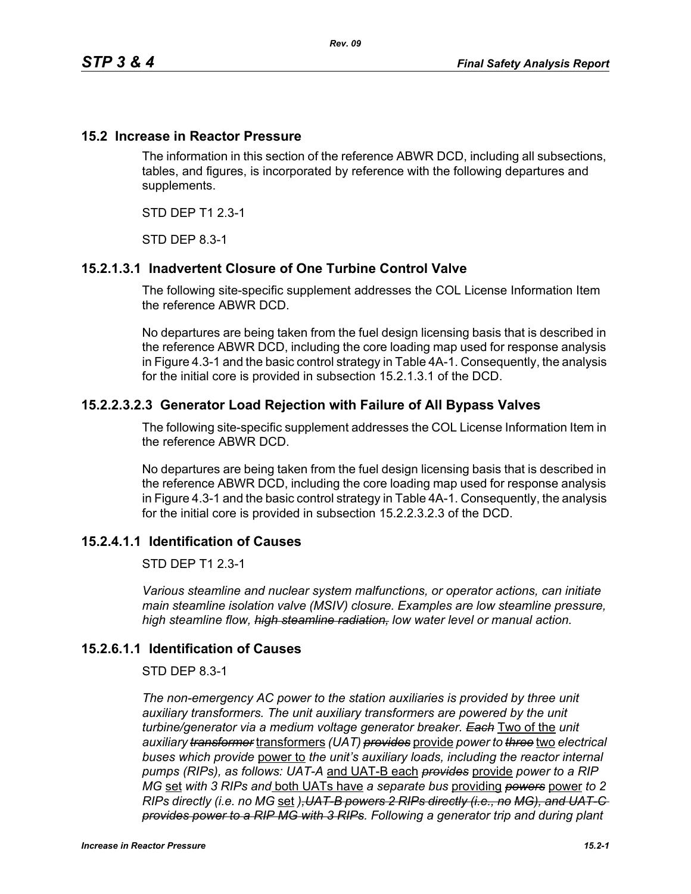## **15.2 Increase in Reactor Pressure**

The information in this section of the reference ABWR DCD, including all subsections, tables, and figures, is incorporated by reference with the following departures and supplements.

STD DEP T1 2.3-1

STD DEP 8.3-1

# **15.2.1.3.1 Inadvertent Closure of One Turbine Control Valve**

The following site-specific supplement addresses the COL License Information Item the reference ABWR DCD.

No departures are being taken from the fuel design licensing basis that is described in the reference ABWR DCD, including the core loading map used for response analysis in Figure 4.3-1 and the basic control strategy in Table 4A-1. Consequently, the analysis for the initial core is provided in subsection 15.2.1.3.1 of the DCD.

## **15.2.2.3.2.3 Generator Load Rejection with Failure of All Bypass Valves**

The following site-specific supplement addresses the COL License Information Item in the reference ABWR DCD.

No departures are being taken from the fuel design licensing basis that is described in the reference ABWR DCD, including the core loading map used for response analysis in Figure 4.3-1 and the basic control strategy in Table 4A-1. Consequently, the analysis for the initial core is provided in subsection 15.2.2.3.2.3 of the DCD.

# **15.2.4.1.1 Identification of Causes**

STD DEP T1 2.3-1

*Various steamline and nuclear system malfunctions, or operator actions, can initiate main steamline isolation valve (MSIV) closure. Examples are low steamline pressure, high steamline flow, high steamline radiation, low water level or manual action.*

#### **15.2.6.1.1 Identification of Causes**

#### STD DEP 8.3-1

*The non-emergency AC power to the station auxiliaries is provided by three unit*  auxiliary transformers. The unit auxiliary transformers are powered by the unit *turbine/generator via a medium voltage generator breaker. Each* Two of the *unit auxiliary transformer* transformers *(UAT) provides* provide *power to three* two *electrical buses which provide* power to *the unit's auxiliary loads, including the reactor internal pumps (RIPs), as follows: UAT-A* and UAT-B each *provides* provide *power to a RIP MG* set *with 3 RIPs and* both UATs have *a separate bus* providing *powers* power *to 2 RIPs directly (i.e. no MG* set *),UAT-B powers 2 RIPs directly (i.e., no MG), and UAT-C provides power to a RIP MG with 3 RIPs. Following a generator trip and during plant*